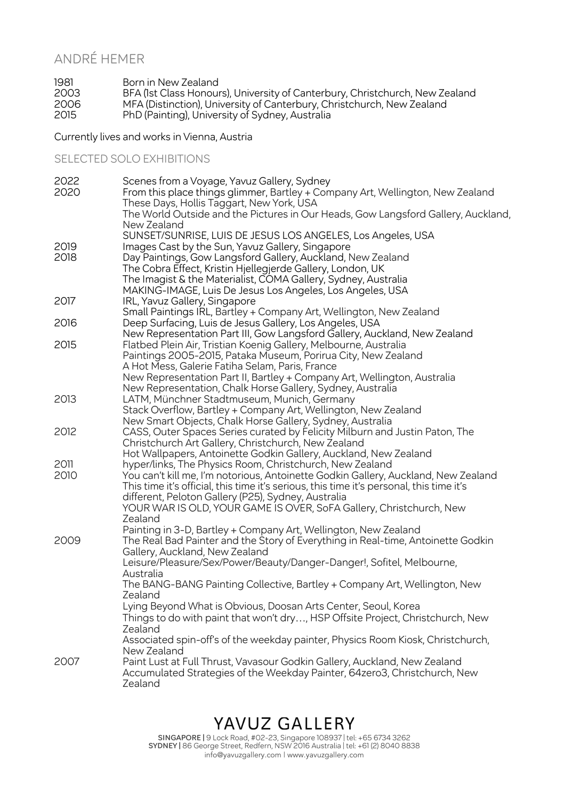#### ANDRÉ HEMER

1981 Born in New Zealand<br>2003 BFA (1st Class Honour BFA (1st Class Honours), University of Canterbury, Christchurch, New Zealand MFA (Distinction), University of Canterbury, Christchurch, New Zealand PhD (Painting), University of Sydney, Australia

Currently lives and works in Vienna, Austria

#### SELECTED SOLO EXHIBITIONS

| 2022 | Scenes from a Voyage, Yavuz Gallery, Sydney                                                                                 |
|------|-----------------------------------------------------------------------------------------------------------------------------|
| 2020 | From this place things glimmer, Bartley + Company Art, Wellington, New Zealand                                              |
|      | These Days, Hollis Taggart, New York, USA                                                                                   |
|      | The World Outside and the Pictures in Our Heads, Gow Langsford Gallery, Auckland,                                           |
|      | New Zealand                                                                                                                 |
|      | SUNSET/SUNRISE, LUIS DE JESUS LOS ANGELES, Los Angeles, USA                                                                 |
| 2019 | Images Cast by the Sun, Yavuz Gallery, Singapore                                                                            |
| 2018 | Day Paintings, Gow Langsford Gallery, Auckland, New Zealand                                                                 |
|      | The Cobra Effect, Kristin Hjellegjerde Gallery, London, UK                                                                  |
|      | The Imagist & the Materialist, COMA Gallery, Sydney, Australia                                                              |
|      | MAKING-IMAGE, Luis De Jesus Los Angeles, Los Angeles, USA                                                                   |
| 2017 | IRL, Yavuz Gallery, Singapore                                                                                               |
|      | Small Paintings IRL, Bartley + Company Art, Wellington, New Zealand                                                         |
| 2016 | Deep Surfacing, Luis de Jesus Gallery, Los Angeles, USA                                                                     |
|      | New Representation Part III, Gow Langsford Gallery, Auckland, New Zealand                                                   |
| 2015 | Flatbed Plein Air, Tristian Koenig Gallery, Melbourne, Australia                                                            |
|      | Paintings 2005-2015, Pataka Museum, Porirua City, New Zealand                                                               |
|      | A Hot Mess, Galerie Fatiha Selam, Paris, France                                                                             |
|      | New Representation Part II, Bartley + Company Art, Wellington, Australia                                                    |
|      | New Representation, Chalk Horse Gallery, Sydney, Australia                                                                  |
| 2013 | LATM, Münchner Stadtmuseum, Munich, Germany                                                                                 |
|      | Stack Overflow, Bartley + Company Art, Wellington, New Zealand<br>New Smart Objects, Chalk Horse Gallery, Sydney, Australia |
| 2012 | CASS, Outer Spaces Series curated by Felicity Milburn and Justin Paton, The                                                 |
|      | Christchurch Art Gallery, Christchurch, New Zealand                                                                         |
|      | Hot Wallpapers, Antoinette Godkin Gallery, Auckland, New Zealand                                                            |
| 2011 | hyper/links, The Physics Room, Christchurch, New Zealand                                                                    |
| 2010 | You can't kill me, I'm notorious, Antoinette Godkin Gallery, Auckland, New Zealand                                          |
|      | This time it's official, this time it's serious, this time it's personal, this time it's                                    |
|      | different, Peloton Gallery (P25), Sydney, Australia                                                                         |
|      | YOUR WAR IS OLD, YOUR GAME IS OVER, SoFA Gallery, Christchurch, New                                                         |
|      | Zealand                                                                                                                     |
|      | Painting in 3-D, Bartley + Company Art, Wellington, New Zealand                                                             |
| 2009 | The Real Bad Painter and the Story of Everything in Real-time, Antoinette Godkin                                            |
|      | Gallery, Auckland, New Zealand                                                                                              |
|      | Leisure/Pleasure/Sex/Power/Beauty/Danger-Danger!, Sofitel, Melbourne,                                                       |
|      | Australia                                                                                                                   |
|      | The BANG-BANG Painting Collective, Bartley + Company Art, Wellington, New                                                   |
|      | Zealand                                                                                                                     |
|      | Lying Beyond What is Obvious, Doosan Arts Center, Seoul, Korea                                                              |
|      | Things to do with paint that won't dry, HSP Offsite Project, Christchurch, New                                              |
|      | Zealand                                                                                                                     |
|      | Associated spin-off's of the weekday painter, Physics Room Kiosk, Christchurch,                                             |
|      | New Zealand                                                                                                                 |
| 2007 | Paint Lust at Full Thrust, Vavasour Godkin Gallery, Auckland, New Zealand                                                   |
|      | Accumulated Strategies of the Weekday Painter, 64zero3, Christchurch, New                                                   |
|      | Zealand                                                                                                                     |

## YAVUZ GALLERY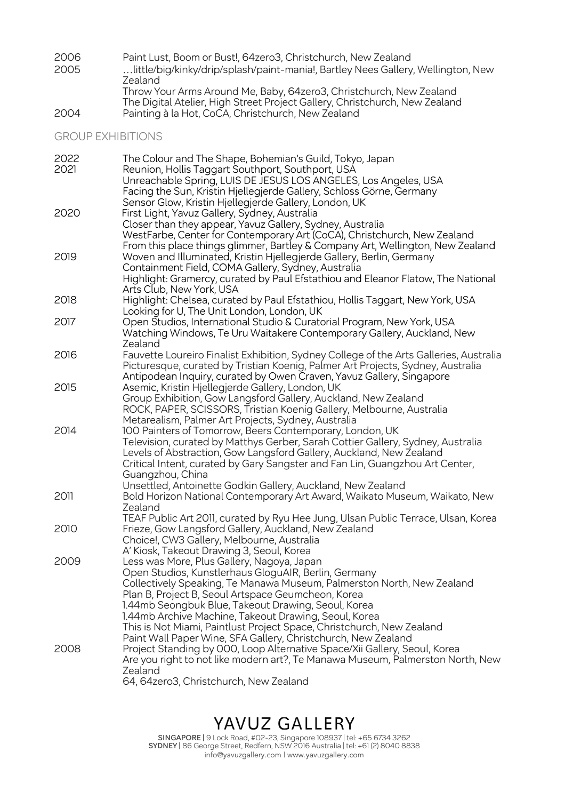| 2006 | Paint Lust, Boom or Bust!, 64zero3, Christchurch, New Zealand                    |
|------|----------------------------------------------------------------------------------|
| 2005 | little/big/kinky/drip/splash/paint-mania!, Bartley Nees Gallery, Wellington, New |
|      | Zealand                                                                          |
|      | Throw Your Arms Around Me, Baby, 64zero3, Christchurch, New Zealand              |
|      | The Digital Atelier, High Street Project Gallery, Christchurch, New Zealand      |
| 2004 | Painting à la Hot, CoCA, Christchurch, New Zealand                               |

GROUP EXHIBITIONS

| 2022<br>2021 | The Colour and The Shape, Bohemian's Guild, Tokyo, Japan<br>Reunion, Hollis Taggart Southport, Southport, USA                  |
|--------------|--------------------------------------------------------------------------------------------------------------------------------|
|              | Unreachable Spring, LUIS DE JESUS LOS ANGELES, Los Angeles, USA                                                                |
|              | Facing the Sun, Kristin Hjellegjerde Gallery, Schloss Görne, Germany                                                           |
|              | Sensor Glow, Kristin Hjellegjerde Gallery, London, UK                                                                          |
| 2020         | First Light, Yavuz Gallery, Sydney, Australia                                                                                  |
|              | Closer than they appear, Yavuz Gallery, Sydney, Australia                                                                      |
|              | WestFarbe, Center for Contemporary Art (CoCA), Christchurch, New Zealand                                                       |
|              | From this place things glimmer, Bartley & Company Art, Wellington, New Zealand                                                 |
| 2019         | Woven and Illuminated, Kristin Hjellegjerde Gallery, Berlin, Germany                                                           |
|              | Containment Field, COMA Gallery, Sydney, Australia                                                                             |
|              | Highlight: Gramercy, curated by Paul Efstathiou and Eleanor Flatow, The National                                               |
|              | Arts Club, New York, USA                                                                                                       |
| 2018         | Highlight: Chelsea, curated by Paul Efstathiou, Hollis Taggart, New York, USA                                                  |
|              | Looking for U, The Unit London, London, UK                                                                                     |
| 2017         | Open Studios, International Studio & Curatorial Program, New York, USA                                                         |
|              | Watching Windows, Te Uru Waitakere Contemporary Gallery, Auckland, New                                                         |
|              | Zealand                                                                                                                        |
| 2016         | Fauvette Loureiro Finalist Exhibition, Sydney College of the Arts Galleries, Australia                                         |
|              | Picturesque, curated by Tristian Koenig, Palmer Art Projects, Sydney, Australia                                                |
| 2015         | Antipodean Inquiry, curated by Owen Craven, Yavuz Gallery, Singapore<br>Asemic, Kristin Hjellegjerde Gallery, London, UK       |
|              | Group Exhibition, Gow Langsford Gallery, Auckland, New Zealand                                                                 |
|              | ROCK, PAPER, SCISSORS, Tristian Koenig Gallery, Melbourne, Australia                                                           |
|              | Metarealism, Palmer Art Projects, Sydney, Australia                                                                            |
| 2014         | 100 Painters of Tomorrow, Beers Contemporary, London, UK                                                                       |
|              | Television, curated by Matthys Gerber, Sarah Cottier Gallery, Sydney, Australia                                                |
|              | Levels of Abstraction, Gow Langsford Gallery, Auckland, New Zealand                                                            |
|              | Critical Intent, curated by Gary Sangster and Fan Lin, Guangzhou Art Center,                                                   |
|              | Guangzhou, China                                                                                                               |
|              | Unsettled, Antoinette Godkin Gallery, Auckland, New Zealand                                                                    |
| 2011         | Bold Horizon National Contemporary Art Award, Waikato Museum, Waikato, New                                                     |
|              | Zealand                                                                                                                        |
|              | TEAF Public Art 2011, curated by Ryu Hee Jung, Ulsan Public Terrace, Ulsan, Korea                                              |
| 2010         | Frieze, Gow Langsford Gallery, Auckland, New Zealand                                                                           |
|              | Choice!, CW3 Gallery, Melbourne, Australia                                                                                     |
|              | A' Kiosk, Takeout Drawing 3, Seoul, Korea                                                                                      |
| 2009         | Less was More, Plus Gallery, Nagoya, Japan                                                                                     |
|              | Open Studios, Kunstlerhaus GloguAIR, Berlin, Germany<br>Collectively Speaking, Te Manawa Museum, Palmerston North, New Zealand |
|              | Plan B, Project B, Seoul Artspace Geumcheon, Korea                                                                             |
|              | 1.44mb Seongbuk Blue, Takeout Drawing, Seoul, Korea                                                                            |
|              | 1.44mb Archive Machine, Takeout Drawing, Seoul, Korea                                                                          |
|              | This is Not Miami, Paintlust Project Space, Christchurch, New Zealand                                                          |
|              | Paint Wall Paper Wine, SFA Gallery, Christchurch, New Zealand                                                                  |
| 2008         | Project Standing by 000, Loop Alternative Space/Xii Gallery, Seoul, Korea                                                      |
|              | Are you right to not like modern art?, Te Manawa Museum, Palmerston North, New                                                 |
|              | Zealand                                                                                                                        |
|              | 64, 64zero3, Christchurch, New Zealand                                                                                         |

## YAVUZ GALLERY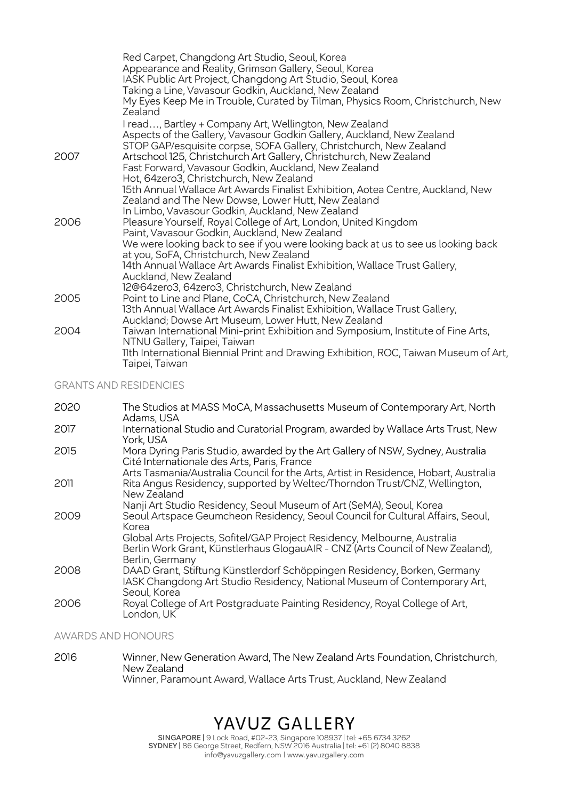|      | Red Carpet, Changdong Art Studio, Seoul, Korea<br>Appearance and Reality, Grimson Gallery, Seoul, Korea<br>IASK Public Art Project, Changdong Art Studio, Seoul, Korea<br>Taking a Line, Vavasour Godkin, Auckland, New Zealand<br>My Eyes Keep Me in Trouble, Curated by Tilman, Physics Room, Christchurch, New<br>Zealand |
|------|------------------------------------------------------------------------------------------------------------------------------------------------------------------------------------------------------------------------------------------------------------------------------------------------------------------------------|
|      | I read, Bartley + Company Art, Wellington, New Zealand<br>Aspects of the Gallery, Vavasour Godkin Gallery, Auckland, New Zealand<br>STOP GAP/esquisite corpse, SOFA Gallery, Christchurch, New Zealand                                                                                                                       |
| 2007 | Artschool 125, Christchurch Art Gallery, Christchurch, New Zealand<br>Fast Forward, Vavasour Godkin, Auckland, New Zealand<br>Hot, 64zero3, Christchurch, New Zealand                                                                                                                                                        |
|      | 15th Annual Wallace Art Awards Finalist Exhibition, Aotea Centre, Auckland, New<br>Zealand and The New Dowse, Lower Hutt, New Zealand<br>In Limbo, Vavasour Godkin, Auckland, New Zealand                                                                                                                                    |
| 2006 | Pleasure Yourself, Royal College of Art, London, United Kingdom<br>Paint, Vavasour Godkin, Auckland, New Zealand                                                                                                                                                                                                             |
|      | We were looking back to see if you were looking back at us to see us looking back<br>at you, SoFA, Christchurch, New Zealand                                                                                                                                                                                                 |
|      | 14th Annual Wallace Art Awards Finalist Exhibition, Wallace Trust Gallery,<br>Auckland, New Zealand                                                                                                                                                                                                                          |
|      | 12@64zero3, 64zero3, Christchurch, New Zealand                                                                                                                                                                                                                                                                               |
| 2005 | Point to Line and Plane, CoCA, Christchurch, New Zealand                                                                                                                                                                                                                                                                     |
|      | 13th Annual Wallace Art Awards Finalist Exhibition, Wallace Trust Gallery,                                                                                                                                                                                                                                                   |
|      | Auckland; Dowse Art Museum, Lower Hutt, New Zealand                                                                                                                                                                                                                                                                          |
| 2004 | Taiwan International Mini-print Exhibition and Symposium, Institute of Fine Arts,<br>NTNU Gallery, Taipei, Taiwan                                                                                                                                                                                                            |
|      | 11th International Biennial Print and Drawing Exhibition, ROC, Taiwan Museum of Art,<br>Taipei, Taiwan                                                                                                                                                                                                                       |

GRANTS AND RESIDENCIES

| 2020 | The Studios at MASS MoCA, Massachusetts Museum of Contemporary Art, North<br>Adams, USA                                                                                          |
|------|----------------------------------------------------------------------------------------------------------------------------------------------------------------------------------|
| 2017 | International Studio and Curatorial Program, awarded by Wallace Arts Trust, New<br>York, USA                                                                                     |
| 2015 | Mora Dyring Paris Studio, awarded by the Art Gallery of NSW, Sydney, Australia<br>Cité Internationale des Arts, Paris, France                                                    |
| 2011 | Arts Tasmania/Australia Council for the Arts, Artist in Residence, Hobart, Australia<br>Rita Angus Residency, supported by Weltec/Thorndon Trust/CNZ, Wellington,<br>New Zealand |
|      | Nanji Art Studio Residency, Seoul Museum of Art (SeMA), Seoul, Korea                                                                                                             |
| 2009 | Seoul Artspace Geumcheon Residency, Seoul Council for Cultural Affairs, Seoul,<br>Korea                                                                                          |
|      | Global Arts Projects, Sofitel/GAP Project Residency, Melbourne, Australia<br>Berlin Work Grant, Künstlerhaus GlogauAIR - CNZ (Arts Council of New Zealand),<br>Berlin, Germany   |
| 2008 | DAAD Grant, Stiftung Künstlerdorf Schöppingen Residency, Borken, Germany<br>IASK Changdong Art Studio Residency, National Museum of Contemporary Art,<br>Seoul, Korea            |
| 2006 | Royal College of Art Postgraduate Painting Residency, Royal College of Art,<br>London, UK                                                                                        |

AWARDS AND HONOURS

2016 Winner, New Generation Award, The New Zealand Arts Foundation, Christchurch, New Zealand Winner, Paramount Award, Wallace Arts Trust, Auckland, New Zealand

# YAVUZ GALLERY

**SINGAPORE |** 9 Lock Road, #02-23, Singapore 108937 | tel: +65 6734 3262 **SYDNEY |** 86 George Street, Redfern, NSW 2016 Australia | tel: +61 (2) 8040 8838 info@yavuzgallery.com | www.yavuzgallery.com